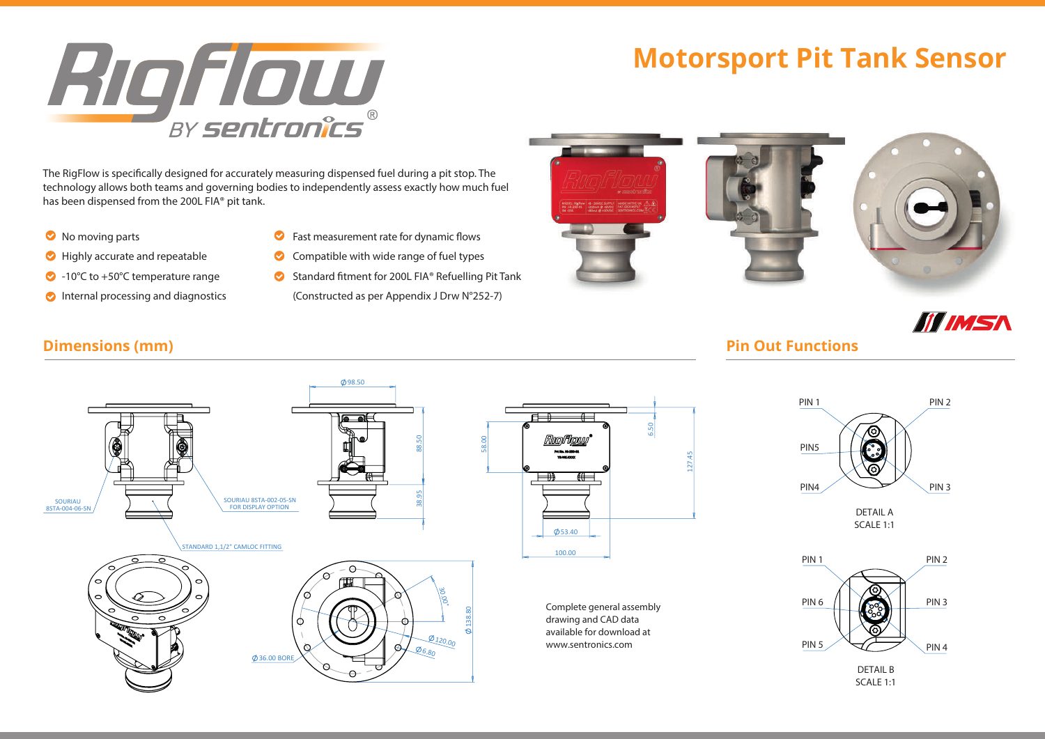# **RIOFOU**

The RigFlow is specifically designed for accurately measuring dispensed fuel during a pit stop. The technology allows both teams and governing bodies to independently assess exactly how much fuel has been dispensed from the 200L FIA® pit tank.

 $\bullet$  No moving parts

SOURIAU 8STA-004-06-SN

- $\bullet$  Highly accurate and repeatable
- 
- 
- $\bullet$  Fast measurement rate for dynamic flows
- $\bullet$  Compatible with wide range of fuel types

98.50

• 10°C to +50°C temperature range **Standard fitment for 200L FIA**® Refuelling Pit Tank Internal processing and diagnostics (Constructed as per Appendix J Drw N°252-7)

# **Motorsport Pit Tank Sensor Motorsport Fuel Flow Sensor Series**



# **III IMSA**

### **Dimensions (mm) Pin Out Functions**







SCALE 1:1

# $20$  to  $\pm120^{\circ}$  to  $\pm120^{\circ}$  temperature range  $C$  fuel types of  $\pm120^{\circ}$